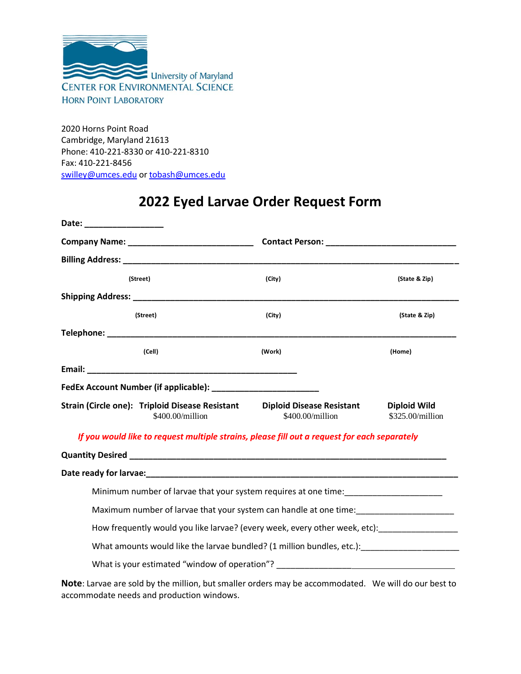

2020 Horns Point Road Cambridge, Maryland 21613 Phone: 410-221-8330 or 410-221-8310 Fax: 410-221-8456 [swilley@umces.edu](mailto:swilley@umces.edu) o[r tobash@umces.edu](mailto:tobash@umces.edu)

## **2022 Eyed Larvae Order Request Form**

| Date: ________________ |                                                                     |                                                                                                              |                                         |
|------------------------|---------------------------------------------------------------------|--------------------------------------------------------------------------------------------------------------|-----------------------------------------|
|                        |                                                                     |                                                                                                              |                                         |
|                        |                                                                     |                                                                                                              |                                         |
|                        | (Street)                                                            | (City)                                                                                                       | (State & Zip)                           |
|                        |                                                                     |                                                                                                              |                                         |
|                        | (Street)                                                            | (City)                                                                                                       | (State & Zip)                           |
|                        |                                                                     |                                                                                                              |                                         |
|                        | (Cell)                                                              | (Work)                                                                                                       | (Home)                                  |
|                        |                                                                     |                                                                                                              |                                         |
|                        |                                                                     |                                                                                                              |                                         |
|                        | Strain (Circle one): Triploid Disease Resistant<br>\$400.00/million | <b>Diploid Disease Resistant</b><br>\$400.00/million                                                         | <b>Diploid Wild</b><br>\$325.00/million |
|                        |                                                                     | If you would like to request multiple strains, please fill out a request for each separately                 |                                         |
|                        |                                                                     |                                                                                                              |                                         |
|                        |                                                                     |                                                                                                              |                                         |
|                        |                                                                     | Minimum number of larvae that your system requires at one time: _________________                            |                                         |
|                        |                                                                     |                                                                                                              |                                         |
|                        |                                                                     | How frequently would you like larvae? (every week, every other week, etc): ________________________          |                                         |
|                        |                                                                     | What amounts would like the larvae bundled? (1 million bundles, etc.):                                       |                                         |
|                        |                                                                     | What is your estimated "window of operation"? __________________________________                             |                                         |
|                        |                                                                     | وبالممط سيمرم والبرز واللار الممامون ومستحقق وماريوهم ومواصده والمسميان والنائس وعاليتها املعو ومسرم وساهماه |                                         |

**Note**: Larvae are sold by the million, but smaller orders may be accommodated. We will do our best to accommodate needs and production windows.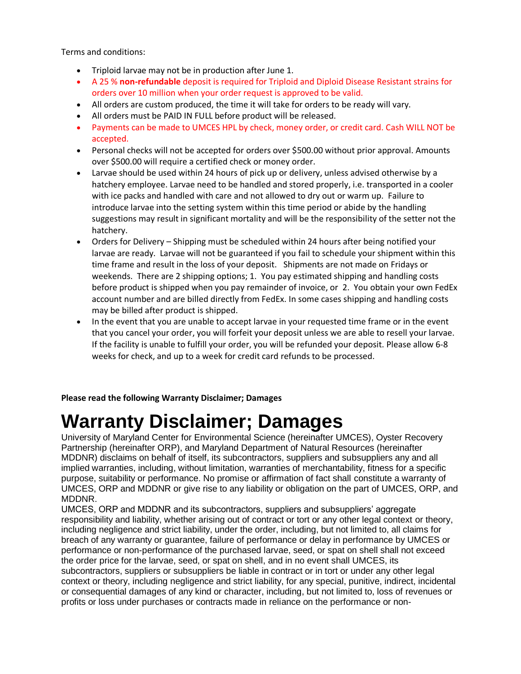Terms and conditions:

- Triploid larvae may not be in production after June 1.
- A 25 % **non-refundable** deposit is required for Triploid and Diploid Disease Resistant strains for orders over 10 million when your order request is approved to be valid.
- All orders are custom produced, the time it will take for orders to be ready will vary.
- All orders must be PAID IN FULL before product will be released.
- Payments can be made to UMCES HPL by check, money order, or credit card. Cash WILL NOT be accepted.
- Personal checks will not be accepted for orders over \$500.00 without prior approval. Amounts over \$500.00 will require a certified check or money order.
- Larvae should be used within 24 hours of pick up or delivery, unless advised otherwise by a hatchery employee. Larvae need to be handled and stored properly, i.e. transported in a cooler with ice packs and handled with care and not allowed to dry out or warm up. Failure to introduce larvae into the setting system within this time period or abide by the handling suggestions may result in significant mortality and will be the responsibility of the setter not the hatchery.
- Orders for Delivery Shipping must be scheduled within 24 hours after being notified your larvae are ready. Larvae will not be guaranteed if you fail to schedule your shipment within this time frame and result in the loss of your deposit. Shipments are not made on Fridays or weekends. There are 2 shipping options; 1. You pay estimated shipping and handling costs before product is shipped when you pay remainder of invoice, or 2. You obtain your own FedEx account number and are billed directly from FedEx. In some cases shipping and handling costs may be billed after product is shipped.
- In the event that you are unable to accept larvae in your requested time frame or in the event that you cancel your order, you will forfeit your deposit unless we are able to resell your larvae. If the facility is unable to fulfill your order, you will be refunded your deposit. Please allow 6-8 weeks for check, and up to a week for credit card refunds to be processed.

**Please read the following Warranty Disclaimer; Damages** 

## **Warranty Disclaimer; Damages**

University of Maryland Center for Environmental Science (hereinafter UMCES), Oyster Recovery Partnership (hereinafter ORP), and Maryland Department of Natural Resources (hereinafter MDDNR) disclaims on behalf of itself, its subcontractors, suppliers and subsuppliers any and all implied warranties, including, without limitation, warranties of merchantability, fitness for a specific purpose, suitability or performance. No promise or affirmation of fact shall constitute a warranty of UMCES, ORP and MDDNR or give rise to any liability or obligation on the part of UMCES, ORP, and MDDNR.

UMCES, ORP and MDDNR and its subcontractors, suppliers and subsuppliers' aggregate responsibility and liability, whether arising out of contract or tort or any other legal context or theory, including negligence and strict liability, under the order, including, but not limited to, all claims for breach of any warranty or guarantee, failure of performance or delay in performance by UMCES or performance or non-performance of the purchased larvae, seed, or spat on shell shall not exceed the order price for the larvae, seed, or spat on shell, and in no event shall UMCES, its subcontractors, suppliers or subsuppliers be liable in contract or in tort or under any other legal context or theory, including negligence and strict liability, for any special, punitive, indirect, incidental or consequential damages of any kind or character, including, but not limited to, loss of revenues or profits or loss under purchases or contracts made in reliance on the performance or non